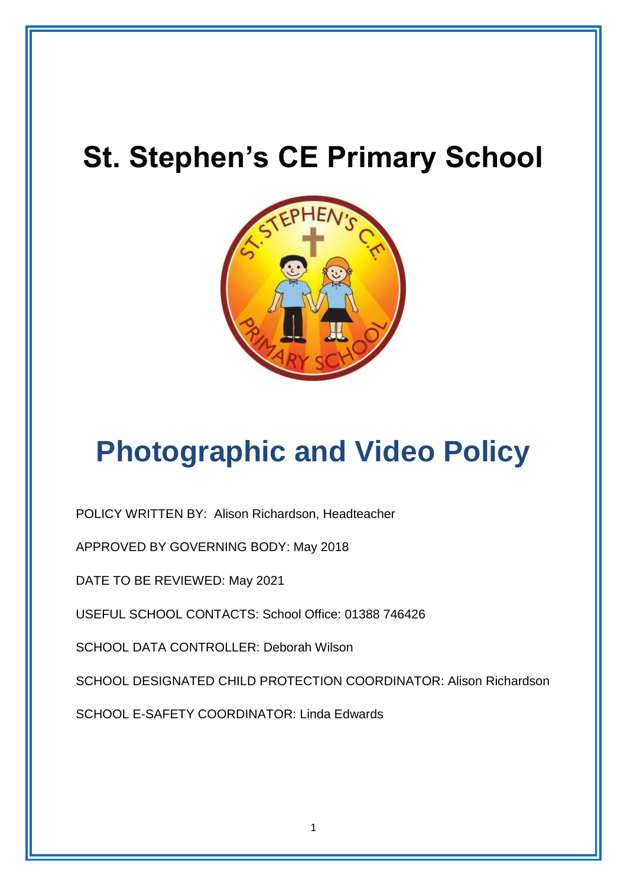# **St. Stephen's CE Primary School**



# **Photographic and Video Policy**

POLICY WRITTEN BY: Alison Richardson, Headteacher

APPROVED BY GOVERNING BODY: May 2018

DATE TO BE REVIEWED: May 2021

USEFUL SCHOOL CONTACTS: School Office: 01388 746426

SCHOOL DATA CONTROLLER: Deborah Wilson

SCHOOL DESIGNATED CHILD PROTECTION COORDINATOR: Alison Richardson

SCHOOL E-SAFETY COORDINATOR: Linda Edwards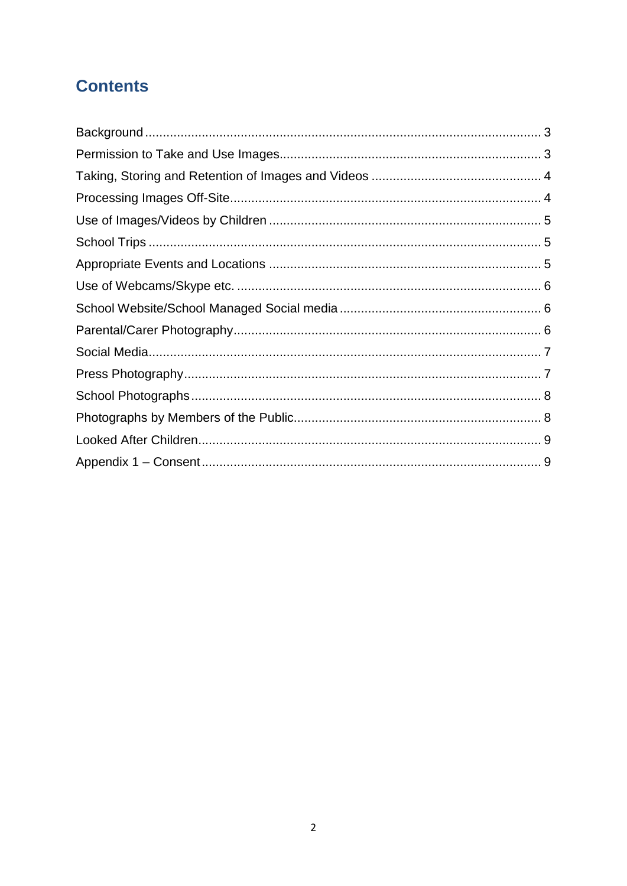# **Contents**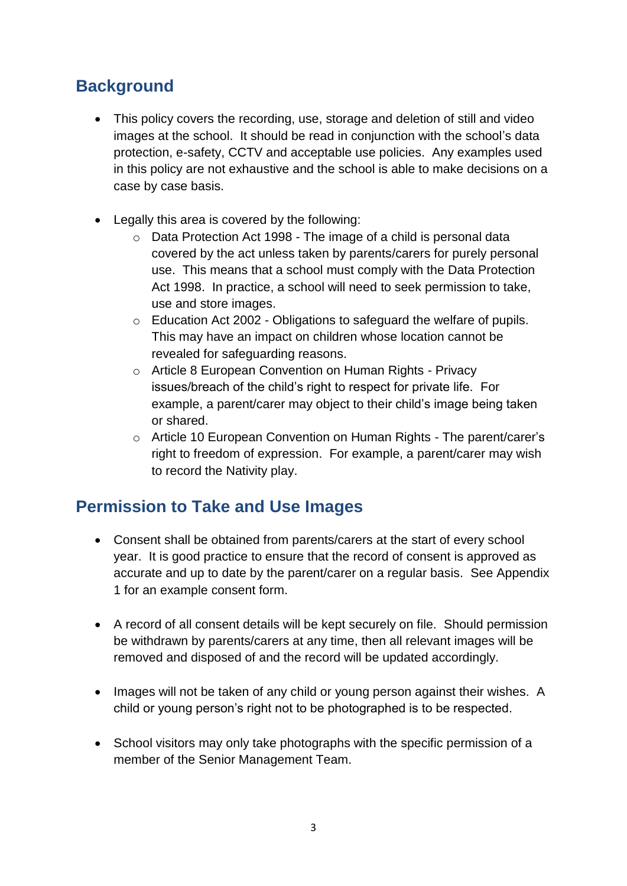## <span id="page-2-0"></span>**Background**

- This policy covers the recording, use, storage and deletion of still and video images at the school. It should be read in conjunction with the school's data protection, e-safety, CCTV and acceptable use policies. Any examples used in this policy are not exhaustive and the school is able to make decisions on a case by case basis.
- Legally this area is covered by the following:
	- $\circ$  Data Protection Act 1998 The image of a child is personal data covered by the act unless taken by parents/carers for purely personal use. This means that a school must comply with the Data Protection Act 1998. In practice, a school will need to seek permission to take, use and store images.
	- o Education Act 2002 Obligations to safeguard the welfare of pupils. This may have an impact on children whose location cannot be revealed for safeguarding reasons.
	- o Article 8 European Convention on Human Rights Privacy issues/breach of the child's right to respect for private life. For example, a parent/carer may object to their child's image being taken or shared.
	- o Article 10 European Convention on Human Rights The parent/carer's right to freedom of expression. For example, a parent/carer may wish to record the Nativity play.

#### <span id="page-2-1"></span>**Permission to Take and Use Images**

- Consent shall be obtained from parents/carers at the start of every school year. It is good practice to ensure that the record of consent is approved as accurate and up to date by the parent/carer on a regular basis. See Appendix 1 for an example consent form.
- A record of all consent details will be kept securely on file. Should permission be withdrawn by parents/carers at any time, then all relevant images will be removed and disposed of and the record will be updated accordingly.
- Images will not be taken of any child or young person against their wishes. A child or young person's right not to be photographed is to be respected.
- School visitors may only take photographs with the specific permission of a member of the Senior Management Team.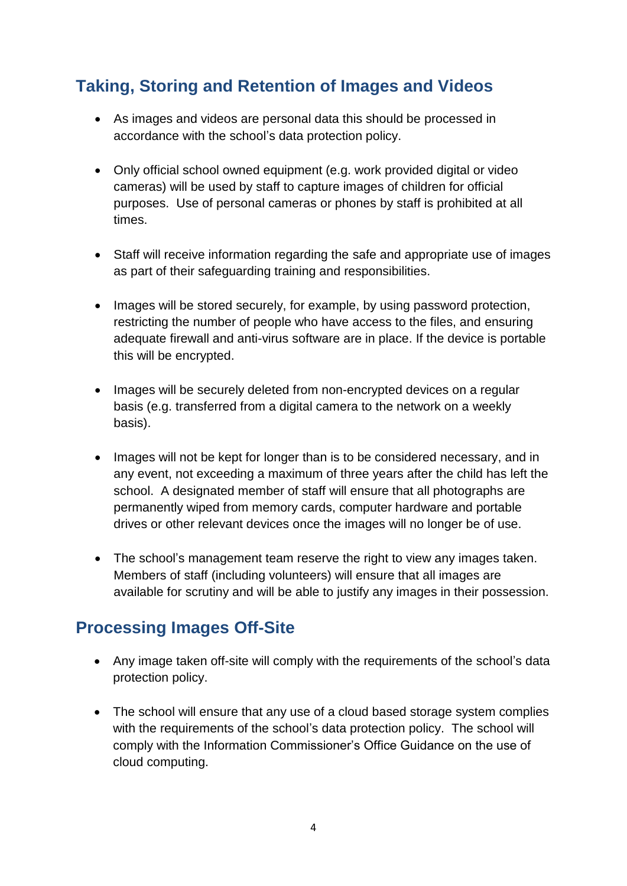# <span id="page-3-0"></span>**Taking, Storing and Retention of Images and Videos**

- As images and videos are personal data this should be processed in accordance with the school's data protection policy.
- Only official school owned equipment (e.g. work provided digital or video cameras) will be used by staff to capture images of children for official purposes. Use of personal cameras or phones by staff is prohibited at all times.
- Staff will receive information regarding the safe and appropriate use of images as part of their safeguarding training and responsibilities.
- Images will be stored securely, for example, by using password protection, restricting the number of people who have access to the files, and ensuring adequate firewall and anti-virus software are in place. If the device is portable this will be encrypted.
- Images will be securely deleted from non-encrypted devices on a regular basis (e.g. transferred from a digital camera to the network on a weekly basis).
- Images will not be kept for longer than is to be considered necessary, and in any event, not exceeding a maximum of three years after the child has left the school. A designated member of staff will ensure that all photographs are permanently wiped from memory cards, computer hardware and portable drives or other relevant devices once the images will no longer be of use.
- The school's management team reserve the right to view any images taken. Members of staff (including volunteers) will ensure that all images are available for scrutiny and will be able to justify any images in their possession.

#### <span id="page-3-1"></span>**Processing Images Off-Site**

- Any image taken off-site will comply with the requirements of the school's data protection policy.
- The school will ensure that any use of a cloud based storage system complies with the requirements of the school's data protection policy. The school will comply with the Information Commissioner's Office Guidance on the use of cloud computing.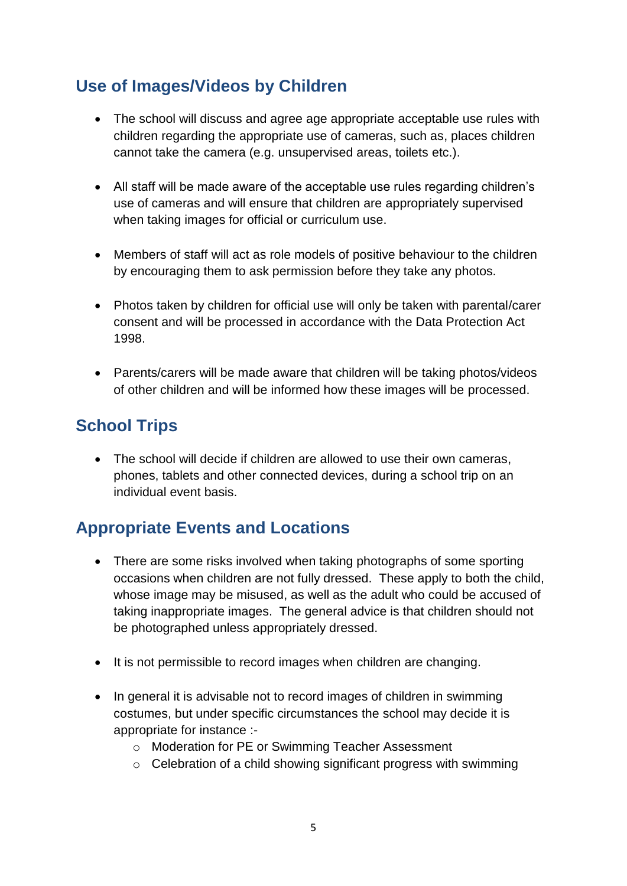# <span id="page-4-0"></span>**Use of Images/Videos by Children**

- The school will discuss and agree age appropriate acceptable use rules with children regarding the appropriate use of cameras, such as, places children cannot take the camera (e.g. unsupervised areas, toilets etc.).
- All staff will be made aware of the acceptable use rules regarding children's use of cameras and will ensure that children are appropriately supervised when taking images for official or curriculum use.
- Members of staff will act as role models of positive behaviour to the children by encouraging them to ask permission before they take any photos.
- Photos taken by children for official use will only be taken with parental/carer consent and will be processed in accordance with the Data Protection Act 1998.
- Parents/carers will be made aware that children will be taking photos/videos of other children and will be informed how these images will be processed.

## <span id="page-4-1"></span>**School Trips**

• The school will decide if children are allowed to use their own cameras, phones, tablets and other connected devices, during a school trip on an individual event basis.

# <span id="page-4-2"></span>**Appropriate Events and Locations**

- There are some risks involved when taking photographs of some sporting occasions when children are not fully dressed. These apply to both the child, whose image may be misused, as well as the adult who could be accused of taking inappropriate images. The general advice is that children should not be photographed unless appropriately dressed.
- It is not permissible to record images when children are changing.
- In general it is advisable not to record images of children in swimming costumes, but under specific circumstances the school may decide it is appropriate for instance :
	- o Moderation for PE or Swimming Teacher Assessment
	- o Celebration of a child showing significant progress with swimming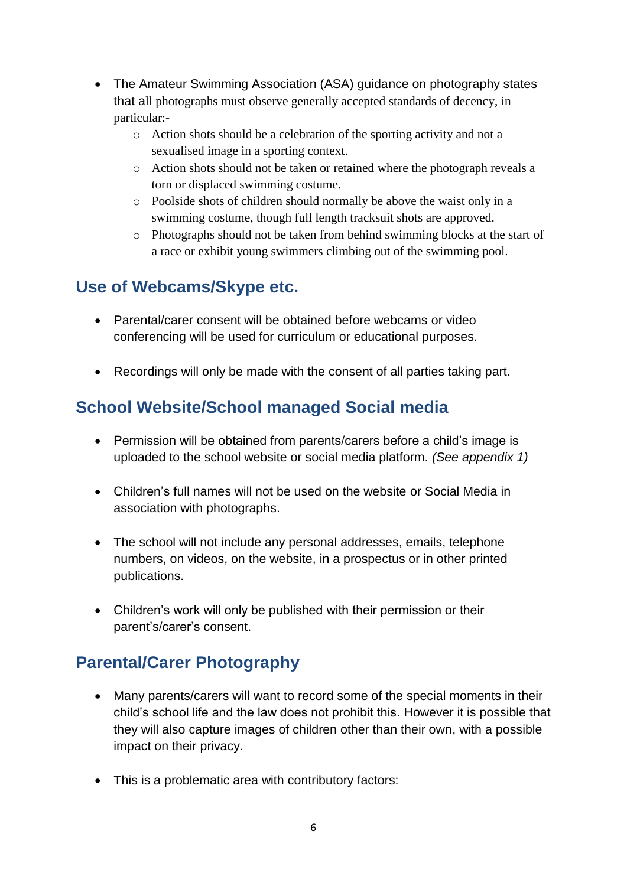- The Amateur Swimming Association (ASA) guidance on photography states that all photographs must observe generally accepted standards of decency, in particular:
	- o Action shots should be a celebration of the sporting activity and not a sexualised image in a sporting context.
	- o Action shots should not be taken or retained where the photograph reveals a torn or displaced swimming costume.
	- o Poolside shots of children should normally be above the waist only in a swimming costume, though full length tracksuit shots are approved.
	- o Photographs should not be taken from behind swimming blocks at the start of a race or exhibit young swimmers climbing out of the swimming pool.

#### <span id="page-5-0"></span>**Use of Webcams/Skype etc.**

- Parental/carer consent will be obtained before webcams or video conferencing will be used for curriculum or educational purposes.
- Recordings will only be made with the consent of all parties taking part.

# <span id="page-5-1"></span>**School Website/School managed Social media**

- Permission will be obtained from parents/carers before a child's image is uploaded to the school website or social media platform. *(See appendix 1)*
- Children's full names will not be used on the website or Social Media in association with photographs.
- The school will not include any personal addresses, emails, telephone numbers, on videos, on the website, in a prospectus or in other printed publications.
- Children's work will only be published with their permission or their parent's/carer's consent.

# <span id="page-5-2"></span>**Parental/Carer Photography**

- Many parents/carers will want to record some of the special moments in their child's school life and the law does not prohibit this. However it is possible that they will also capture images of children other than their own, with a possible impact on their privacy.
- This is a problematic area with contributory factors: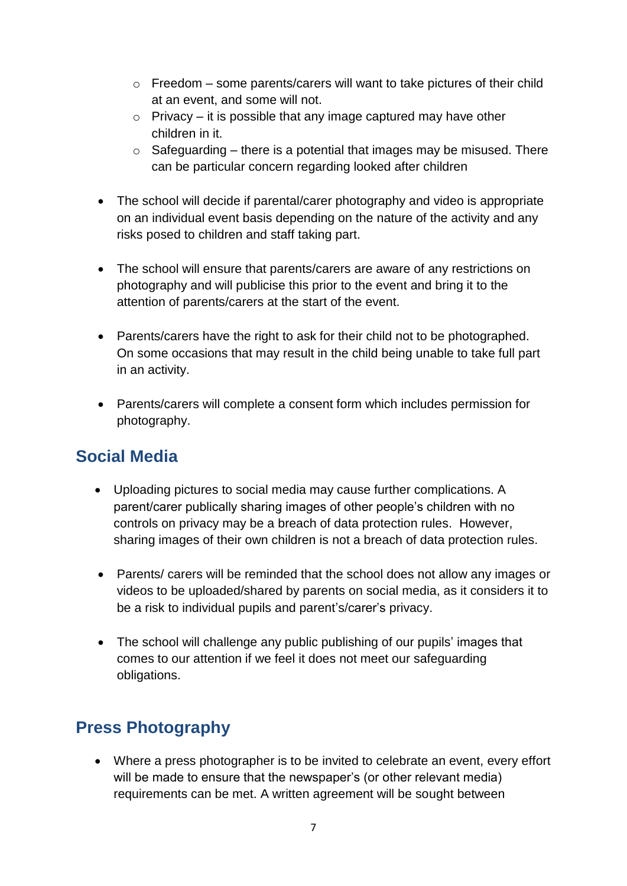- $\circ$  Freedom some parents/carers will want to take pictures of their child at an event, and some will not.
- $\circ$  Privacy it is possible that any image captured may have other children in it.
- $\circ$  Safeguarding there is a potential that images may be misused. There can be particular concern regarding looked after children
- The school will decide if parental/carer photography and video is appropriate on an individual event basis depending on the nature of the activity and any risks posed to children and staff taking part.
- The school will ensure that parents/carers are aware of any restrictions on photography and will publicise this prior to the event and bring it to the attention of parents/carers at the start of the event.
- Parents/carers have the right to ask for their child not to be photographed. On some occasions that may result in the child being unable to take full part in an activity.
- Parents/carers will complete a consent form which includes permission for photography.

#### <span id="page-6-0"></span>**Social Media**

- Uploading pictures to social media may cause further complications. A parent/carer publically sharing images of other people's children with no controls on privacy may be a breach of data protection rules. However, sharing images of their own children is not a breach of data protection rules.
- Parents/ carers will be reminded that the school does not allow any images or videos to be uploaded/shared by parents on social media, as it considers it to be a risk to individual pupils and parent's/carer's privacy.
- The school will challenge any public publishing of our pupils' images that comes to our attention if we feel it does not meet our safeguarding obligations.

# <span id="page-6-1"></span>**Press Photography**

• Where a press photographer is to be invited to celebrate an event, every effort will be made to ensure that the newspaper's (or other relevant media) requirements can be met. A written agreement will be sought between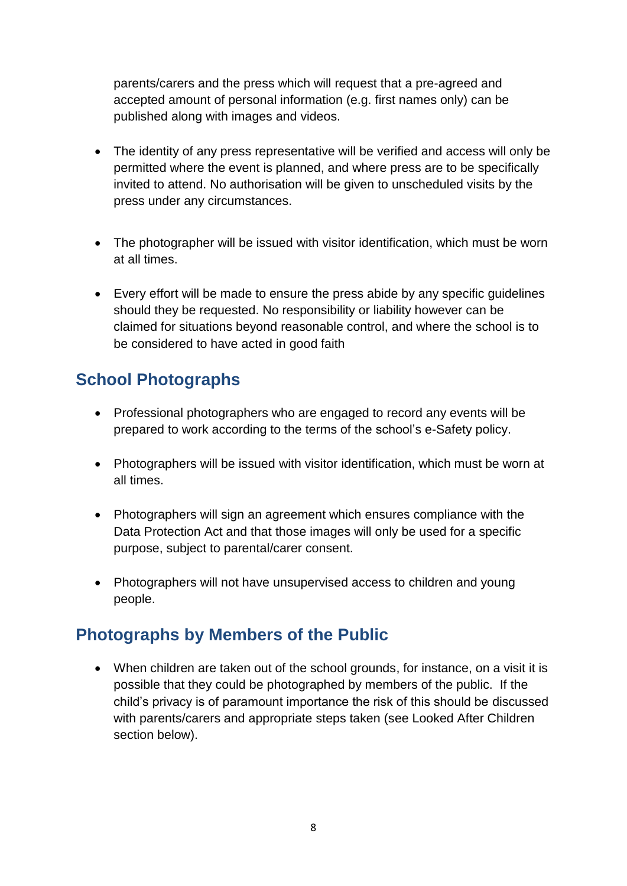parents/carers and the press which will request that a pre-agreed and accepted amount of personal information (e.g. first names only) can be published along with images and videos.

- The identity of any press representative will be verified and access will only be permitted where the event is planned, and where press are to be specifically invited to attend. No authorisation will be given to unscheduled visits by the press under any circumstances.
- The photographer will be issued with visitor identification, which must be worn at all times.
- Every effort will be made to ensure the press abide by any specific guidelines should they be requested. No responsibility or liability however can be claimed for situations beyond reasonable control, and where the school is to be considered to have acted in good faith

## <span id="page-7-0"></span>**School Photographs**

- Professional photographers who are engaged to record any events will be prepared to work according to the terms of the school's e-Safety policy.
- Photographers will be issued with visitor identification, which must be worn at all times.
- Photographers will sign an agreement which ensures compliance with the Data Protection Act and that those images will only be used for a specific purpose, subject to parental/carer consent.
- Photographers will not have unsupervised access to children and young people.

#### <span id="page-7-1"></span>**Photographs by Members of the Public**

• When children are taken out of the school grounds, for instance, on a visit it is possible that they could be photographed by members of the public. If the child's privacy is of paramount importance the risk of this should be discussed with parents/carers and appropriate steps taken (see Looked After Children section below).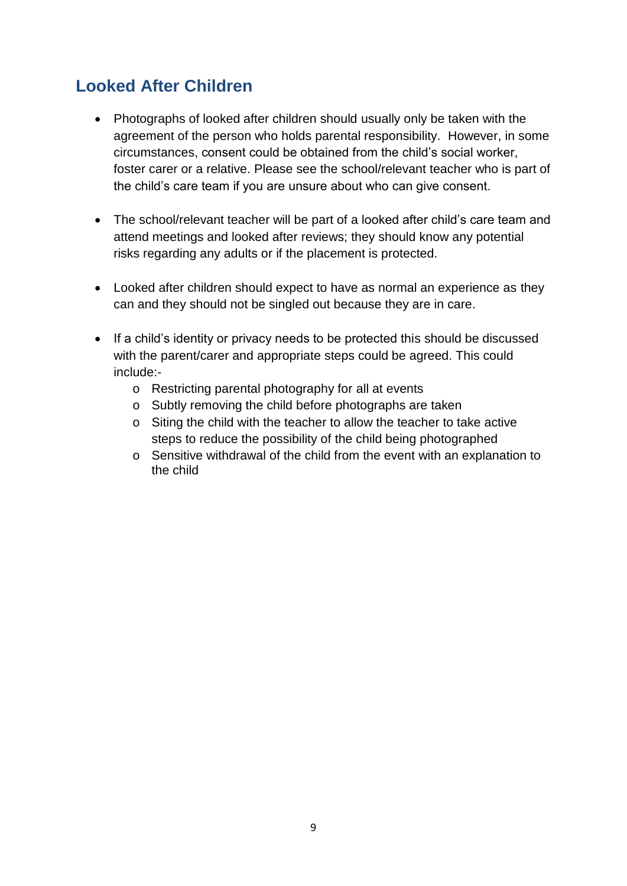#### <span id="page-8-0"></span>**Looked After Children**

- Photographs of looked after children should usually only be taken with the agreement of the person who holds parental responsibility. However, in some circumstances, consent could be obtained from the child's social worker, foster carer or a relative. Please see the school/relevant teacher who is part of the child's care team if you are unsure about who can give consent.
- The school/relevant teacher will be part of a looked after child's care team and attend meetings and looked after reviews; they should know any potential risks regarding any adults or if the placement is protected.
- Looked after children should expect to have as normal an experience as they can and they should not be singled out because they are in care.
- <span id="page-8-1"></span>• If a child's identity or privacy needs to be protected this should be discussed with the parent/carer and appropriate steps could be agreed. This could include:
	- o Restricting parental photography for all at events
	- o Subtly removing the child before photographs are taken
	- o Siting the child with the teacher to allow the teacher to take active steps to reduce the possibility of the child being photographed
	- o Sensitive withdrawal of the child from the event with an explanation to the child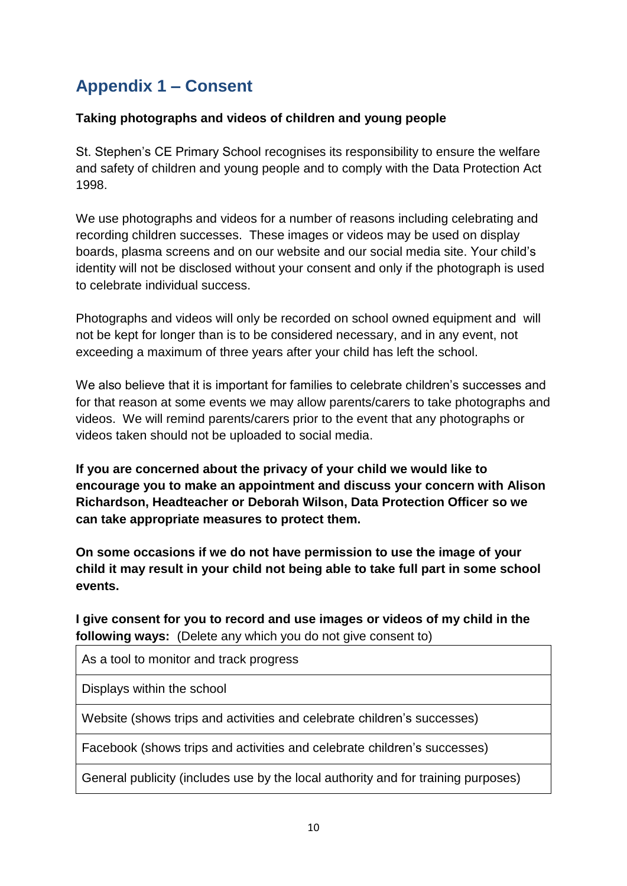# **Appendix 1 – Consent**

#### **Taking photographs and videos of children and young people**

St. Stephen's CE Primary School recognises its responsibility to ensure the welfare and safety of children and young people and to comply with the Data Protection Act 1998.

We use photographs and videos for a number of reasons including celebrating and recording children successes. These images or videos may be used on display boards, plasma screens and on our website and our social media site. Your child's identity will not be disclosed without your consent and only if the photograph is used to celebrate individual success.

Photographs and videos will only be recorded on school owned equipment and will not be kept for longer than is to be considered necessary, and in any event, not exceeding a maximum of three years after your child has left the school.

We also believe that it is important for families to celebrate children's successes and for that reason at some events we may allow parents/carers to take photographs and videos. We will remind parents/carers prior to the event that any photographs or videos taken should not be uploaded to social media.

**If you are concerned about the privacy of your child we would like to encourage you to make an appointment and discuss your concern with Alison Richardson, Headteacher or Deborah Wilson, Data Protection Officer so we can take appropriate measures to protect them.**

**On some occasions if we do not have permission to use the image of your child it may result in your child not being able to take full part in some school events.**

**I give consent for you to record and use images or videos of my child in the following ways:** (Delete any which you do not give consent to)

As a tool to monitor and track progress

Displays within the school

Website (shows trips and activities and celebrate children's successes)

Facebook (shows trips and activities and celebrate children's successes)

General publicity (includes use by the local authority and for training purposes)